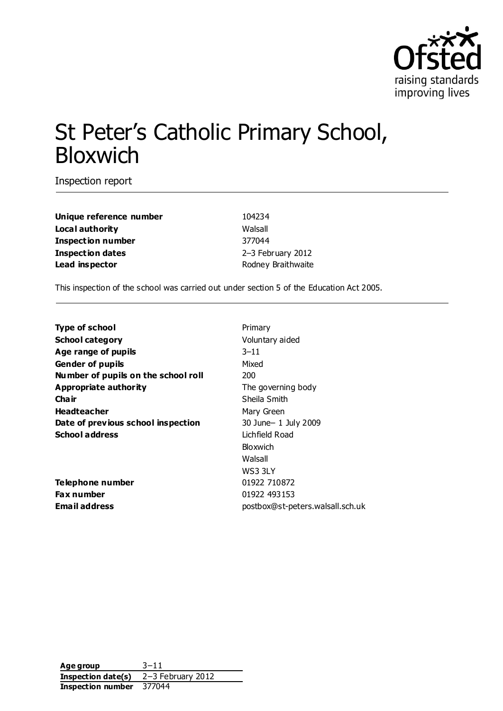

# St Peter's Catholic Primary School, Bloxwich

Inspection report

**Unique reference number** 104234 **Local authority** Walsall **Inspection number** 377044 **Inspection dates** 2–3 February 2012 **Lead inspector Example 2018** Rodney Braithwaite

This inspection of the school was carried out under section 5 of the Education Act 2005.

| <b>Type of school</b>               | Primary                          |
|-------------------------------------|----------------------------------|
| <b>School category</b>              | Voluntary aided                  |
| Age range of pupils                 | $3 - 11$                         |
| <b>Gender of pupils</b>             | Mixed                            |
| Number of pupils on the school roll | 200                              |
| Appropriate authority               | The governing body               |
| Cha ir                              | Sheila Smith                     |
| <b>Headteacher</b>                  | Mary Green                       |
| Date of previous school inspection  | 30 June-1 July 2009              |
| <b>School address</b>               | Lichfield Road                   |
|                                     | Bloxwich                         |
|                                     | Walsall                          |
|                                     | WS3 3LY                          |
| Telephone number                    | 01922 710872                     |
| Fax number                          | 01922 493153                     |
| Email address                       | postbox@st-peters.walsall.sch.uk |
|                                     |                                  |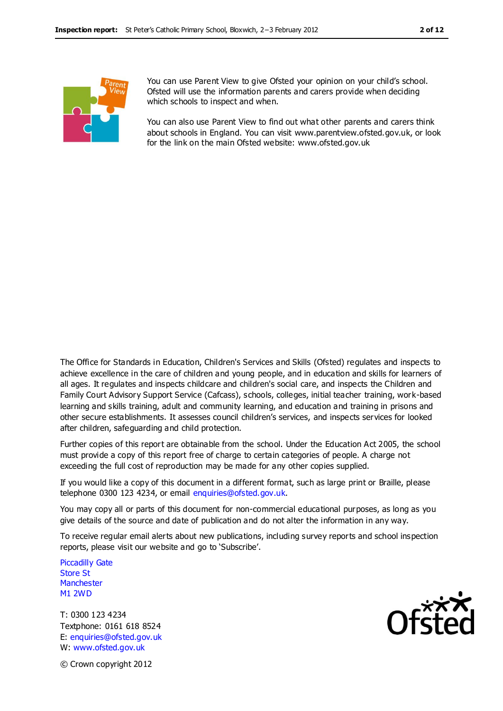

You can use Parent View to give Ofsted your opinion on your child's school. Ofsted will use the information parents and carers provide when deciding which schools to inspect and when.

You can also use Parent View to find out what other parents and carers think about schools in England. You can visit www.parentview.ofsted.gov.uk, or look for the link on the main Ofsted website: www.ofsted.gov.uk

The Office for Standards in Education, Children's Services and Skills (Ofsted) regulates and inspects to achieve excellence in the care of children and young people, and in education and skills for learners of all ages. It regulates and inspects childcare and children's social care, and inspects the Children and Family Court Advisory Support Service (Cafcass), schools, colleges, initial teacher training, work-based learning and skills training, adult and community learning, and education and training in prisons and other secure establishments. It assesses council children's services, and inspects services for looked after children, safeguarding and child protection.

Further copies of this report are obtainable from the school. Under the Education Act 2005, the school must provide a copy of this report free of charge to certain categories of people. A charge not exceeding the full cost of reproduction may be made for any other copies supplied.

If you would like a copy of this document in a different format, such as large print or Braille, please telephone 0300 123 4234, or email enquiries@ofsted.gov.uk.

You may copy all or parts of this document for non-commercial educational purposes, as long as you give details of the source and date of publication and do not alter the information in any way.

To receive regular email alerts about new publications, including survey reports and school inspection reports, please visit our website and go to 'Subscribe'.

Piccadilly Gate Store St **Manchester** M1 2WD

T: 0300 123 4234 Textphone: 0161 618 8524 E: enquiries@ofsted.gov.uk W: www.ofsted.gov.uk



© Crown copyright 2012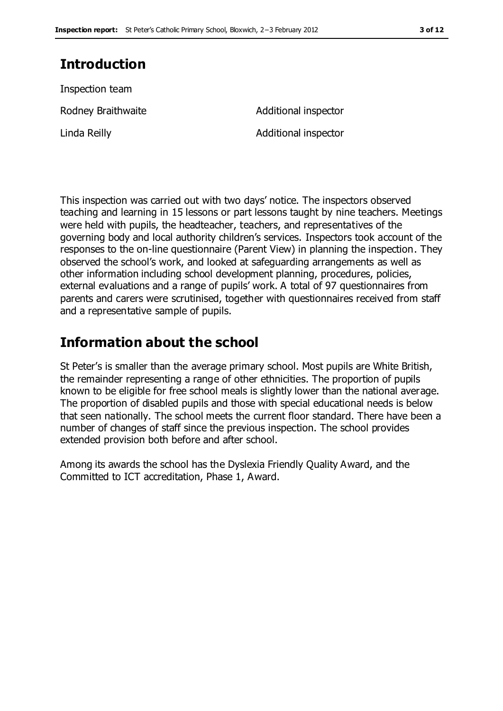# **Introduction**

Inspection team Rodney Braithwaite **Additional** inspector Linda Reilly **Additional inspector** 

This inspection was carried out with two days' notice. The inspectors observed teaching and learning in 15 lessons or part lessons taught by nine teachers. Meetings were held with pupils, the headteacher, teachers, and representatives of the governing body and local authority children's services. Inspectors took account of the responses to the on-line questionnaire (Parent View) in planning the inspection. They observed the school's work, and looked at safeguarding arrangements as well as other information including school development planning, procedures, policies, external evaluations and a range of pupils' work. A total of 97 questionnaires from parents and carers were scrutinised, together with questionnaires received from staff and a representative sample of pupils.

# **Information about the school**

St Peter's is smaller than the average primary school. Most pupils are White British, the remainder representing a range of other ethnicities. The proportion of pupils known to be eligible for free school meals is slightly lower than the national average. The proportion of disabled pupils and those with special educational needs is below that seen nationally. The school meets the current floor standard. There have been a number of changes of staff since the previous inspection. The school provides extended provision both before and after school.

Among its awards the school has the Dyslexia Friendly Quality Award, and the Committed to ICT accreditation, Phase 1, Award.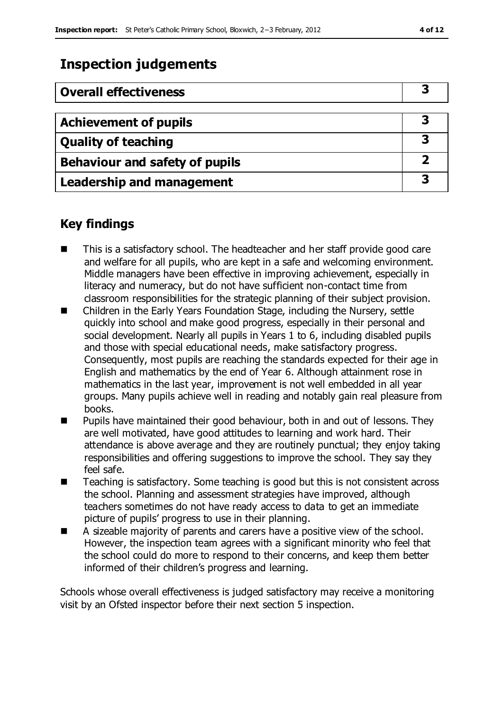# **Inspection judgements**

| <b>Overall effectiveness</b>          |  |
|---------------------------------------|--|
|                                       |  |
| <b>Achievement of pupils</b>          |  |
| <b>Quality of teaching</b>            |  |
| <b>Behaviour and safety of pupils</b> |  |
| <b>Leadership and management</b>      |  |

### **Key findings**

- This is a satisfactory school. The headteacher and her staff provide good care and welfare for all pupils, who are kept in a safe and welcoming environment. Middle managers have been effective in improving achievement, especially in literacy and numeracy, but do not have sufficient non-contact time from classroom responsibilities for the strategic planning of their subject provision.
- Children in the Early Years Foundation Stage, including the Nursery, settle quickly into school and make good progress, especially in their personal and social development. Nearly all pupils in Years 1 to 6, including disabled pupils and those with special educational needs, make satisfactory progress. Consequently, most pupils are reaching the standards expected for their age in English and mathematics by the end of Year 6. Although attainment rose in mathematics in the last year, improvement is not well embedded in all year groups. Many pupils achieve well in reading and notably gain real pleasure from books.
- **Pupils have maintained their good behaviour, both in and out of lessons. They** are well motivated, have good attitudes to learning and work hard. Their attendance is above average and they are routinely punctual; they enjoy taking responsibilities and offering suggestions to improve the school. They say they feel safe.
- Teaching is satisfactory. Some teaching is good but this is not consistent across the school. Planning and assessment strategies have improved, although teachers sometimes do not have ready access to data to get an immediate picture of pupils' progress to use in their planning.
- A sizeable majority of parents and carers have a positive view of the school. However, the inspection team agrees with a significant minority who feel that the school could do more to respond to their concerns, and keep them better informed of their children's progress and learning.

Schools whose overall effectiveness is judged satisfactory may receive a monitoring visit by an Ofsted inspector before their next section 5 inspection.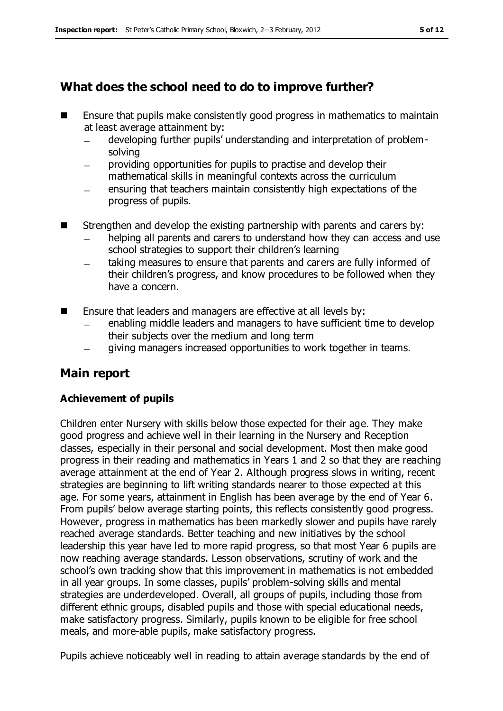## **What does the school need to do to improve further?**

- $\blacksquare$  Ensure that pupils make consistently good progress in mathematics to maintain at least average attainment by:
	- developing further pupils' understanding and interpretation of problem- $\equiv$ solving
	- providing opportunities for pupils to practise and develop their mathematical skills in meaningful contexts across the curriculum
	- ensuring that teachers maintain consistently high expectations of the progress of pupils.
- Strengthen and develop the existing partnership with parents and carers by:
	- helping all parents and carers to understand how they can access and use school strategies to support their children's learning
	- taking measures to ensure that parents and carers are fully informed of  $\frac{1}{1}$ their children's progress, and know procedures to be followed when they have a concern.
- Ensure that leaders and managers are effective at all levels by:
	- enabling middle leaders and managers to have sufficient time to develop their subjects over the medium and long term
	- giving managers increased opportunities to work together in teams.

## **Main report**

### **Achievement of pupils**

Children enter Nursery with skills below those expected for their age. They make good progress and achieve well in their learning in the Nursery and Reception classes, especially in their personal and social development. Most then make good progress in their reading and mathematics in Years 1 and 2 so that they are reaching average attainment at the end of Year 2. Although progress slows in writing, recent strategies are beginning to lift writing standards nearer to those expected at this age. For some years, attainment in English has been average by the end of Year 6. From pupils' below average starting points, this reflects consistently good progress. However, progress in mathematics has been markedly slower and pupils have rarely reached average standards. Better teaching and new initiatives by the school leadership this year have led to more rapid progress, so that most Year 6 pupils are now reaching average standards. Lesson observations, scrutiny of work and the school's own tracking show that this improvement in mathematics is not embedded in all year groups. In some classes, pupils' problem-solving skills and mental strategies are underdeveloped. Overall, all groups of pupils, including those from different ethnic groups, disabled pupils and those with special educational needs, make satisfactory progress. Similarly, pupils known to be eligible for free school meals, and more-able pupils, make satisfactory progress.

Pupils achieve noticeably well in reading to attain average standards by the end of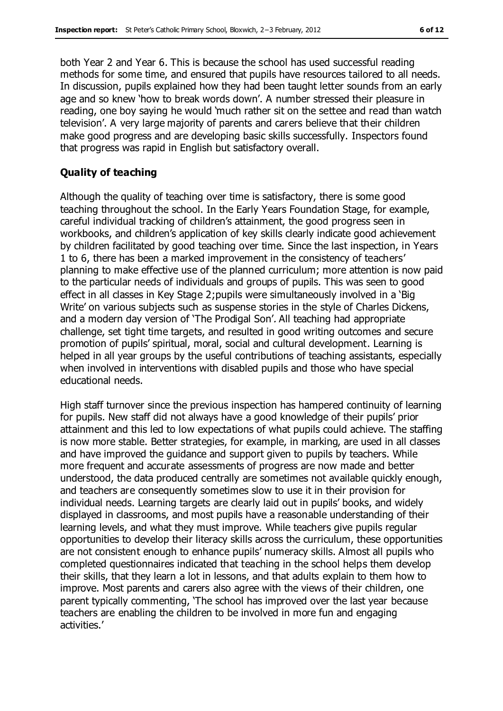both Year 2 and Year 6. This is because the school has used successful reading methods for some time, and ensured that pupils have resources tailored to all needs. In discussion, pupils explained how they had been taught letter sounds from an early age and so knew 'how to break words down'. A number stressed their pleasure in reading, one boy saying he would 'much rather sit on the settee and read than watch television'. A very large majority of parents and carers believe that their children make good progress and are developing basic skills successfully. Inspectors found that progress was rapid in English but satisfactory overall.

#### **Quality of teaching**

Although the quality of teaching over time is satisfactory, there is some good teaching throughout the school. In the Early Years Foundation Stage, for example, careful individual tracking of children's attainment, the good progress seen in workbooks, and children's application of key skills clearly indicate good achievement by children facilitated by good teaching over time. Since the last inspection, in Years 1 to 6, there has been a marked improvement in the consistency of teachers' planning to make effective use of the planned curriculum; more attention is now paid to the particular needs of individuals and groups of pupils. This was seen to good effect in all classes in Key Stage 2;pupils were simultaneously involved in a 'Big Write' on various subjects such as suspense stories in the style of Charles Dickens, and a modern day version of 'The Prodigal Son'. All teaching had appropriate challenge, set tight time targets, and resulted in good writing outcomes and secure promotion of pupils' spiritual, moral, social and cultural development. Learning is helped in all year groups by the useful contributions of teaching assistants, especially when involved in interventions with disabled pupils and those who have special educational needs.

High staff turnover since the previous inspection has hampered continuity of learning for pupils. New staff did not always have a good knowledge of their pupils' prior attainment and this led to low expectations of what pupils could achieve. The staffing is now more stable. Better strategies, for example, in marking, are used in all classes and have improved the guidance and support given to pupils by teachers. While more frequent and accurate assessments of progress are now made and better understood, the data produced centrally are sometimes not available quickly enough, and teachers are consequently sometimes slow to use it in their provision for individual needs. Learning targets are clearly laid out in pupils' books, and widely displayed in classrooms, and most pupils have a reasonable understanding of their learning levels, and what they must improve. While teachers give pupils regular opportunities to develop their literacy skills across the curriculum, these opportunities are not consistent enough to enhance pupils' numeracy skills. Almost all pupils who completed questionnaires indicated that teaching in the school helps them develop their skills, that they learn a lot in lessons, and that adults explain to them how to improve. Most parents and carers also agree with the views of their children, one parent typically commenting, 'The school has improved over the last year because teachers are enabling the children to be involved in more fun and engaging activities.'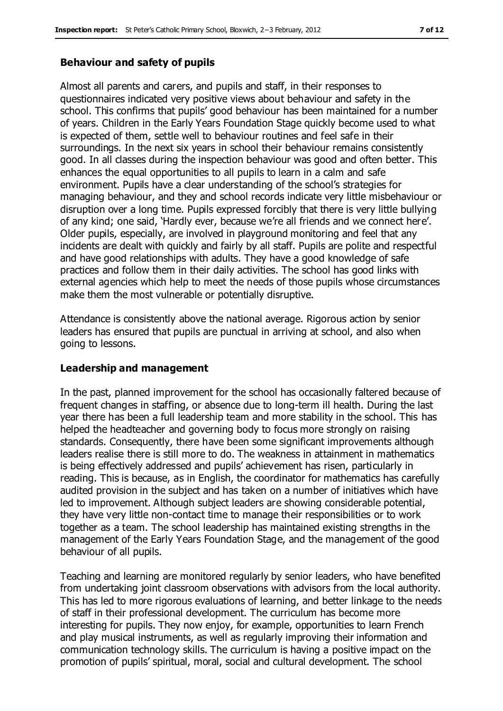#### **Behaviour and safety of pupils**

Almost all parents and carers, and pupils and staff, in their responses to questionnaires indicated very positive views about behaviour and safety in the school. This confirms that pupils' good behaviour has been maintained for a number of years. Children in the Early Years Foundation Stage quickly become used to what is expected of them, settle well to behaviour routines and feel safe in their surroundings. In the next six years in school their behaviour remains consistently good. In all classes during the inspection behaviour was good and often better. This enhances the equal opportunities to all pupils to learn in a calm and safe environment. Pupils have a clear understanding of the school's strategies for managing behaviour, and they and school records indicate very little misbehaviour or disruption over a long time. Pupils expressed forcibly that there is very little bullying of any kind; one said, 'Hardly ever, because we're all friends and we connect here'. Older pupils, especially, are involved in playground monitoring and feel that any incidents are dealt with quickly and fairly by all staff. Pupils are polite and respectful and have good relationships with adults. They have a good knowledge of safe practices and follow them in their daily activities. The school has good links with external agencies which help to meet the needs of those pupils whose circumstances make them the most vulnerable or potentially disruptive.

Attendance is consistently above the national average. Rigorous action by senior leaders has ensured that pupils are punctual in arriving at school, and also when going to lessons.

#### **Leadership and management**

In the past, planned improvement for the school has occasionally faltered because of frequent changes in staffing, or absence due to long-term ill health. During the last year there has been a full leadership team and more stability in the school. This has helped the headteacher and governing body to focus more strongly on raising standards. Consequently, there have been some significant improvements although leaders realise there is still more to do. The weakness in attainment in mathematics is being effectively addressed and pupils' achievement has risen, particularly in reading. This is because, as in English, the coordinator for mathematics has carefully audited provision in the subject and has taken on a number of initiatives which have led to improvement. Although subject leaders are showing considerable potential, they have very little non-contact time to manage their responsibilities or to work together as a team. The school leadership has maintained existing strengths in the management of the Early Years Foundation Stage, and the management of the good behaviour of all pupils.

Teaching and learning are monitored regularly by senior leaders, who have benefited from undertaking joint classroom observations with advisors from the local authority. This has led to more rigorous evaluations of learning, and better linkage to the needs of staff in their professional development. The curriculum has become more interesting for pupils. They now enjoy, for example, opportunities to learn French and play musical instruments, as well as regularly improving their information and communication technology skills. The curriculum is having a positive impact on the promotion of pupils' spiritual, moral, social and cultural development. The school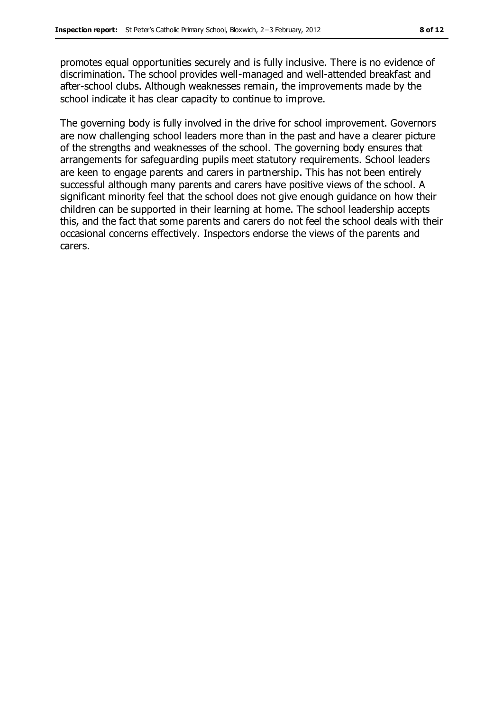promotes equal opportunities securely and is fully inclusive. There is no evidence of discrimination. The school provides well-managed and well-attended breakfast and after-school clubs. Although weaknesses remain, the improvements made by the school indicate it has clear capacity to continue to improve.

The governing body is fully involved in the drive for school improvement. Governors are now challenging school leaders more than in the past and have a clearer picture of the strengths and weaknesses of the school. The governing body ensures that arrangements for safeguarding pupils meet statutory requirements. School leaders are keen to engage parents and carers in partnership. This has not been entirely successful although many parents and carers have positive views of the school. A significant minority feel that the school does not give enough guidance on how their children can be supported in their learning at home. The school leadership accepts this, and the fact that some parents and carers do not feel the school deals with their occasional concerns effectively. Inspectors endorse the views of the parents and carers.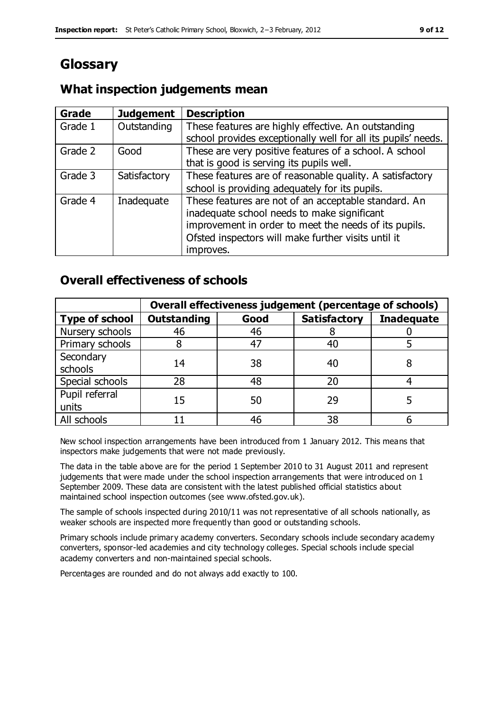# **Glossary**

### **What inspection judgements mean**

| Grade   | <b>Judgement</b> | <b>Description</b>                                                                                                                                                                                                               |
|---------|------------------|----------------------------------------------------------------------------------------------------------------------------------------------------------------------------------------------------------------------------------|
| Grade 1 | Outstanding      | These features are highly effective. An outstanding<br>school provides exceptionally well for all its pupils' needs.                                                                                                             |
| Grade 2 | Good             | These are very positive features of a school. A school<br>that is good is serving its pupils well.                                                                                                                               |
| Grade 3 | Satisfactory     | These features are of reasonable quality. A satisfactory<br>school is providing adequately for its pupils.                                                                                                                       |
| Grade 4 | Inadequate       | These features are not of an acceptable standard. An<br>inadequate school needs to make significant<br>improvement in order to meet the needs of its pupils.<br>Ofsted inspectors will make further visits until it<br>improves. |

### **Overall effectiveness of schools**

|                         | Overall effectiveness judgement (percentage of schools) |      |                     |                   |
|-------------------------|---------------------------------------------------------|------|---------------------|-------------------|
| <b>Type of school</b>   | <b>Outstanding</b>                                      | Good | <b>Satisfactory</b> | <b>Inadequate</b> |
| Nursery schools         | 46                                                      | 46   |                     |                   |
| Primary schools         |                                                         | 47   | 40                  |                   |
| Secondary<br>schools    | 14                                                      | 38   | 40                  |                   |
| Special schools         | 28                                                      | 48   | 20                  |                   |
| Pupil referral<br>units | 15                                                      | 50   | 29                  |                   |
| All schools             |                                                         | 46   | 38                  |                   |

New school inspection arrangements have been introduced from 1 January 2012. This means that inspectors make judgements that were not made previously.

The data in the table above are for the period 1 September 2010 to 31 August 2011 and represent judgements that were made under the school inspection arrangements that were introduced on 1 September 2009. These data are consistent with the latest published official statistics about maintained school inspection outcomes (see www.ofsted.gov.uk).

The sample of schools inspected during 2010/11 was not representative of all schools nationally, as weaker schools are inspected more frequently than good or outstanding schools.

Primary schools include primary academy converters. Secondary schools include secondary academy converters, sponsor-led academies and city technology colleges. Special schools include special academy converters and non-maintained special schools.

Percentages are rounded and do not always add exactly to 100.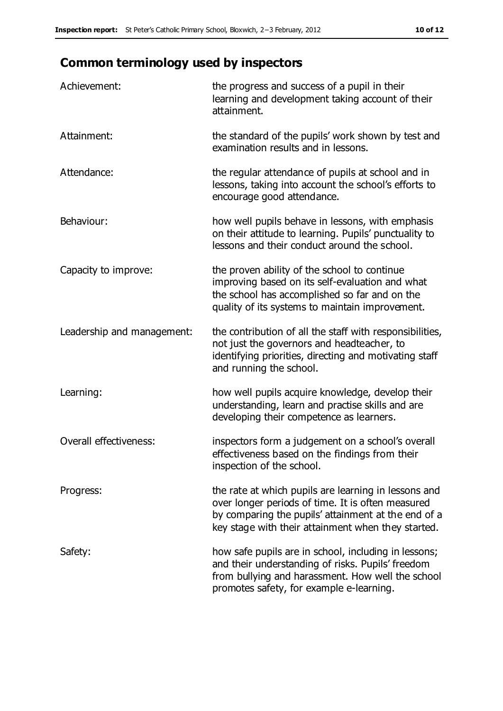# **Common terminology used by inspectors**

| Achievement:                  | the progress and success of a pupil in their<br>learning and development taking account of their<br>attainment.                                                                                                        |
|-------------------------------|------------------------------------------------------------------------------------------------------------------------------------------------------------------------------------------------------------------------|
| Attainment:                   | the standard of the pupils' work shown by test and<br>examination results and in lessons.                                                                                                                              |
| Attendance:                   | the regular attendance of pupils at school and in<br>lessons, taking into account the school's efforts to<br>encourage good attendance.                                                                                |
| Behaviour:                    | how well pupils behave in lessons, with emphasis<br>on their attitude to learning. Pupils' punctuality to<br>lessons and their conduct around the school.                                                              |
| Capacity to improve:          | the proven ability of the school to continue<br>improving based on its self-evaluation and what<br>the school has accomplished so far and on the<br>quality of its systems to maintain improvement.                    |
| Leadership and management:    | the contribution of all the staff with responsibilities,<br>not just the governors and headteacher, to<br>identifying priorities, directing and motivating staff<br>and running the school.                            |
| Learning:                     | how well pupils acquire knowledge, develop their<br>understanding, learn and practise skills and are<br>developing their competence as learners.                                                                       |
| <b>Overall effectiveness:</b> | inspectors form a judgement on a school's overall<br>effectiveness based on the findings from their<br>inspection of the school.                                                                                       |
| Progress:                     | the rate at which pupils are learning in lessons and<br>over longer periods of time. It is often measured<br>by comparing the pupils' attainment at the end of a<br>key stage with their attainment when they started. |
| Safety:                       | how safe pupils are in school, including in lessons;<br>and their understanding of risks. Pupils' freedom<br>from bullying and harassment. How well the school<br>promotes safety, for example e-learning.             |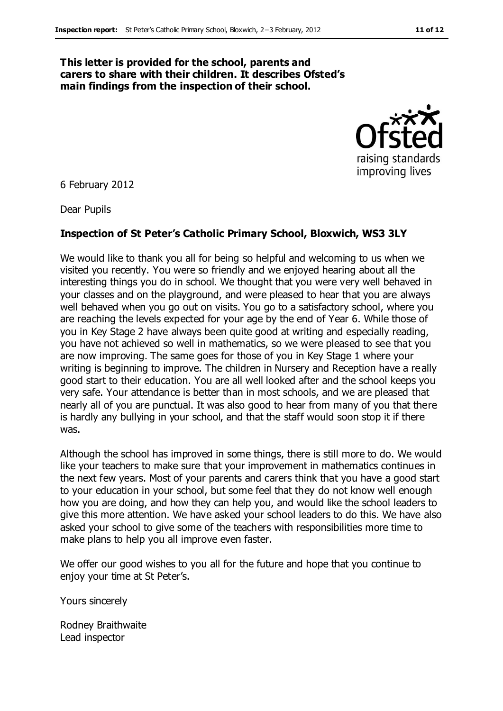#### **This letter is provided for the school, parents and carers to share with their children. It describes Ofsted's main findings from the inspection of their school.**



6 February 2012

Dear Pupils

#### **Inspection of St Peter's Catholic Primary School, Bloxwich, WS3 3LY**

We would like to thank you all for being so helpful and welcoming to us when we visited you recently. You were so friendly and we enjoyed hearing about all the interesting things you do in school. We thought that you were very well behaved in your classes and on the playground, and were pleased to hear that you are always well behaved when you go out on visits. You go to a satisfactory school, where you are reaching the levels expected for your age by the end of Year 6. While those of you in Key Stage 2 have always been quite good at writing and especially reading, you have not achieved so well in mathematics, so we were pleased to see that you are now improving. The same goes for those of you in Key Stage 1 where your writing is beginning to improve. The children in Nursery and Reception have a really good start to their education. You are all well looked after and the school keeps you very safe. Your attendance is better than in most schools, and we are pleased that nearly all of you are punctual. It was also good to hear from many of you that there is hardly any bullying in your school, and that the staff would soon stop it if there was.

Although the school has improved in some things, there is still more to do. We would like your teachers to make sure that your improvement in mathematics continues in the next few years. Most of your parents and carers think that you have a good start to your education in your school, but some feel that they do not know well enough how you are doing, and how they can help you, and would like the school leaders to give this more attention. We have asked your school leaders to do this. We have also asked your school to give some of the teachers with responsibilities more time to make plans to help you all improve even faster.

We offer our good wishes to you all for the future and hope that you continue to enjoy your time at St Peter's.

Yours sincerely

Rodney Braithwaite Lead inspector